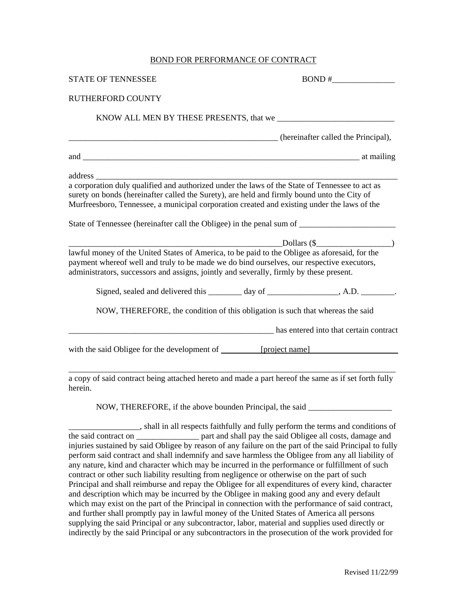## BOND FOR PERFORMANCE OF CONTRACT

| <b>STATE OF TENNESSEE</b>                                                                                                                                                                                                                                                                    | $BOND \#$ |
|----------------------------------------------------------------------------------------------------------------------------------------------------------------------------------------------------------------------------------------------------------------------------------------------|-----------|
| <b>RUTHERFORD COUNTY</b>                                                                                                                                                                                                                                                                     |           |
|                                                                                                                                                                                                                                                                                              |           |
| (hereinafter called the Principal),                                                                                                                                                                                                                                                          |           |
|                                                                                                                                                                                                                                                                                              |           |
|                                                                                                                                                                                                                                                                                              |           |
| a corporation duly qualified and authorized under the laws of the State of Tennessee to act as<br>surety on bonds (hereinafter called the Surety), are held and firmly bound unto the City of<br>Murfreesboro, Tennessee, a municipal corporation created and existing under the laws of the |           |
|                                                                                                                                                                                                                                                                                              |           |
| Dollars (\$) and the set of the set of the set of the set of the set of the set of the set of the set of the set of the set of the set of the set of the set of the set of the set of the set of the set of the set of the set                                                               |           |
| lawful money of the United States of America, to be paid to the Obligee as aforesaid, for the<br>payment whereof well and truly to be made we do bind ourselves, our respective executors,<br>administrators, successors and assigns, jointly and severally, firmly by these present.        |           |
| Signed, sealed and delivered this _______ day of ___________________, A.D. _________.                                                                                                                                                                                                        |           |
| NOW, THEREFORE, the condition of this obligation is such that whereas the said                                                                                                                                                                                                               |           |
| and the base of the base of the contract has entered into that certain contract                                                                                                                                                                                                              |           |
| with the said Obligee for the development of [project name]                                                                                                                                                                                                                                  |           |
| a copy of said contract being attached hereto and made a part hereof the same as if set forth fully<br>herein.                                                                                                                                                                               |           |

NOW, THEREFORE, if the above bounden Principal, the said \_\_\_\_\_\_\_\_\_\_\_\_\_\_\_\_\_\_\_\_

\_\_\_\_\_\_\_\_\_\_\_\_\_\_\_\_\_, shall in all respects faithfully and fully perform the terms and conditions of the said contract on \_\_\_\_\_\_\_\_\_\_\_\_\_\_\_ part and shall pay the said Obligee all costs, damage and injuries sustained by said Obligee by reason of any failure on the part of the said Principal to fully perform said contract and shall indemnify and save harmless the Obligee from any all liability of any nature, kind and character which may be incurred in the performance or fulfillment of such contract or other such liability resulting from negligence or otherwise on the part of such Principal and shall reimburse and repay the Obligee for all expenditures of every kind, character and description which may be incurred by the Obligee in making good any and every default which may exist on the part of the Principal in connection with the performance of said contract, and further shall promptly pay in lawful money of the United States of America all persons supplying the said Principal or any subcontractor, labor, material and supplies used directly or indirectly by the said Principal or any subcontractors in the prosecution of the work provided for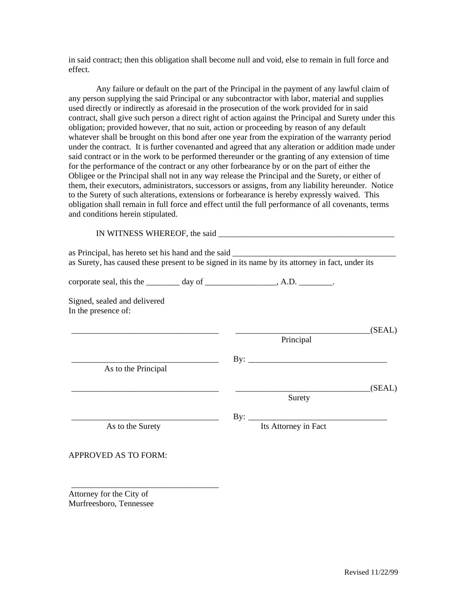in said contract; then this obligation shall become null and void, else to remain in full force and effect.

 Any failure or default on the part of the Principal in the payment of any lawful claim of any person supplying the said Principal or any subcontractor with labor, material and supplies used directly or indirectly as aforesaid in the prosecution of the work provided for in said contract, shall give such person a direct right of action against the Principal and Surety under this obligation; provided however, that no suit, action or proceeding by reason of any default whatever shall be brought on this bond after one year from the expiration of the warranty period under the contract. It is further covenanted and agreed that any alteration or addition made under said contract or in the work to be performed thereunder or the granting of any extension of time for the performance of the contract or any other forbearance by or on the part of either the Obligee or the Principal shall not in any way release the Principal and the Surety, or either of them, their executors, administrators, successors or assigns, from any liability hereunder. Notice to the Surety of such alterations, extensions or forbearance is hereby expressly waived. This obligation shall remain in full force and effect until the full performance of all covenants, terms and conditions herein stipulated.

 IN WITNESS WHEREOF, the said \_\_\_\_\_\_\_\_\_\_\_\_\_\_\_\_\_\_\_\_\_\_\_\_\_\_\_\_\_\_\_\_\_\_\_\_\_\_\_\_\_\_ as Principal, has hereto set his hand and the said \_\_\_\_\_\_\_\_\_\_\_\_\_\_\_\_\_\_\_\_\_\_\_\_\_\_\_\_\_\_ as Surety, has caused these present to be signed in its name by its attorney in fact, under its  $\Box$  corporate seal, this the  $\Box$  day of  $\Box$  A.D.  $\Box$ Signed, sealed and delivered In the presence of: \_\_\_\_\_\_\_\_\_\_\_\_\_\_\_\_\_\_\_\_\_\_\_\_\_\_\_\_\_\_\_\_\_\_\_ \_\_\_\_\_\_\_\_\_\_\_\_\_\_\_\_\_\_\_\_\_\_\_\_\_\_\_\_\_\_\_\_ (SEAL) Principal  $\text{By:}$  As to the Principal  $\begin{array}{ccc} \hline \text{ } & \text{ } \text{ (SEAL)} \end{array}$ Surety Surety \_\_\_\_\_\_\_\_\_\_\_\_\_\_\_\_\_\_\_\_\_\_\_\_\_\_\_\_\_\_\_\_\_\_\_ By: \_\_\_\_\_\_\_\_\_\_\_\_\_\_\_\_\_\_\_\_\_\_\_\_\_\_\_\_\_\_\_\_\_ As to the Surety Its Attorney in Fact APPROVED AS TO FORM:

Attorney for the City of Murfreesboro, Tennessee

\_\_\_\_\_\_\_\_\_\_\_\_\_\_\_\_\_\_\_\_\_\_\_\_\_\_\_\_\_\_\_\_\_\_\_